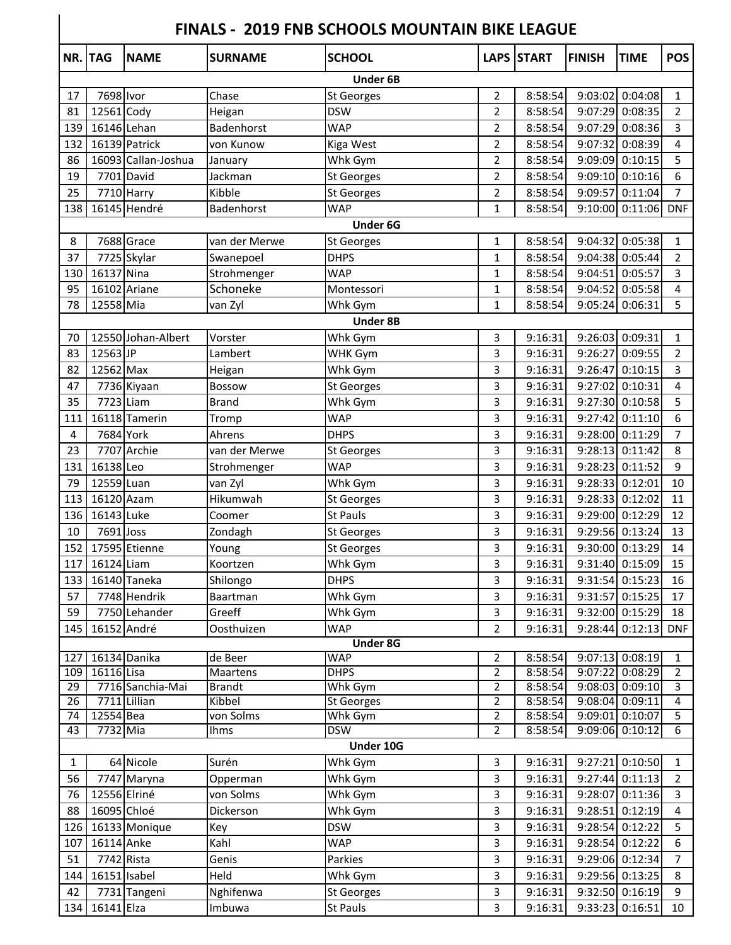## **FINALS - 2019 FNB SCHOOLS MOUNTAIN BIKE LEAGUE**

|                                           | NR. TAG        | <b>NAME</b>         | <b>SURNAME</b> | <b>SCHOOL</b>     |                | <b>LAPS START</b> | <b>FINISH</b>                 | <b>TIME</b>       | <b>POS</b>     |  |
|-------------------------------------------|----------------|---------------------|----------------|-------------------|----------------|-------------------|-------------------------------|-------------------|----------------|--|
| <b>Under 6B</b>                           |                |                     |                |                   |                |                   |                               |                   |                |  |
| 17                                        | 7698 Ivor      |                     | Chase          | <b>St Georges</b> | $\overline{2}$ | 8:58:54           |                               | 9:03:02 0:04:08   | $\mathbf{1}$   |  |
| 81                                        | 12561 Cody     |                     | Heigan         | <b>DSW</b>        | $\overline{2}$ | 8:58:54           |                               | 9:07:29 0:08:35   | $\overline{2}$ |  |
| 139                                       | 16146 Lehan    |                     | Badenhorst     | <b>WAP</b>        | $\overline{2}$ | 8:58:54           |                               | 9:07:29 0:08:36   | 3              |  |
| 132                                       |                | 16139 Patrick       | von Kunow      | Kiga West         | $\overline{2}$ | 8:58:54           |                               | 9:07:32 0:08:39   | $\overline{4}$ |  |
| 86                                        |                | 16093 Callan-Joshua | January        | Whk Gym           | $\overline{2}$ | 8:58:54           |                               | 9:09:09 0:10:15   | 5              |  |
| 19                                        |                | 7701 David          | Jackman        | <b>St Georges</b> | $\overline{2}$ | 8:58:54           |                               | $9:09:10$ 0:10:16 | 6              |  |
| 25                                        |                | 7710 Harry          | Kibble         | <b>St Georges</b> | $\overline{2}$ | 8:58:54           |                               | 9:09:57 0:11:04   | $\overline{7}$ |  |
|                                           |                | 138 16145 Hendré    | Badenhorst     | <b>WAP</b>        | $\mathbf{1}$   | 8:58:54           |                               | 9:10:00 0:11:06   | <b>DNF</b>     |  |
| <b>Under 6G</b>                           |                |                     |                |                   |                |                   |                               |                   |                |  |
| 8                                         |                | 7688 Grace          | van der Merwe  | <b>St Georges</b> | 1              | 8:58:54           |                               | 9:04:32 0:05:38   | $\mathbf{1}$   |  |
| 37                                        |                | 7725 Skylar         | Swanepoel      | <b>DHPS</b>       | $\mathbf{1}$   | 8:58:54           |                               | 9:04:38 0:05:44   | $\overline{2}$ |  |
| 130                                       | 16137 Nina     |                     | Strohmenger    | <b>WAP</b>        | 1              | 8:58:54           |                               | 9:04:51 0:05:57   | 3              |  |
| 95                                        |                | 16102 Ariane        | Schoneke       | Montessori        | 1              | 8:58:54           |                               | 9:04:52 0:05:58   | 4              |  |
| 78                                        | 12558 Mia      |                     | van Zyl        | Whk Gym           | $\mathbf{1}$   | 8:58:54           |                               | 9:05:24 0:06:31   | 5              |  |
|                                           |                |                     |                | <b>Under 8B</b>   |                |                   |                               |                   |                |  |
| 70                                        |                | 12550 Johan-Albert  | Vorster        | Whk Gym           | 3              | 9:16:31           |                               | 9:26:03 0:09:31   | $\mathbf{1}$   |  |
| 83                                        | 12563 JP       |                     | Lambert        | WHK Gym           | 3              | 9:16:31           |                               | 9:26:27 0:09:55   | $\overline{2}$ |  |
| 82                                        | 12562 Max      |                     | Heigan         | Whk Gym           | 3              | 9:16:31           |                               | 9:26:47 0:10:15   | $\overline{3}$ |  |
| 47                                        |                | 7736 Kiyaan         | <b>Bossow</b>  | <b>St Georges</b> | 3              | 9:16:31           |                               | 9:27:02 0:10:31   | 4              |  |
| 35                                        | 7723 Liam      |                     | <b>Brand</b>   | Whk Gym           | 3              | 9:16:31           |                               | 9:27:30 0:10:58   | 5              |  |
| 111                                       |                | 16118 Tamerin       | Tromp          | <b>WAP</b>        | 3              | 9:16:31           |                               | 9:27:42 0:11:10   | 6              |  |
| 4                                         | 7684 York      |                     | Ahrens         | <b>DHPS</b>       | 3              | 9:16:31           |                               | 9:28:00 0:11:29   | $\overline{7}$ |  |
| 23                                        |                | 7707 Archie         | van der Merwe  | <b>St Georges</b> | 3              | 9:16:31           |                               | 9:28:13 0:11:42   | 8              |  |
| 131                                       | 16138 Leo      |                     | Strohmenger    | <b>WAP</b>        | 3              | 9:16:31           |                               | 9:28:23 0:11:52   | 9              |  |
| 79                                        | 12559 Luan     |                     | van Zyl        | Whk Gym           | 3              | 9:16:31           |                               | 9:28:33 0:12:01   | 10             |  |
| 113                                       | 16120 Azam     |                     | Hikumwah       | <b>St Georges</b> | 3              | 9:16:31           |                               | 9:28:33 0:12:02   | 11             |  |
| 136                                       | 16143 Luke     |                     | Coomer         | <b>St Pauls</b>   | 3              | 9:16:31           |                               | 9:29:00 0:12:29   | 12             |  |
| 10                                        | 7691 Joss      |                     | Zondagh        | St Georges        | 3              | 9:16:31           |                               | 9:29:56 0:13:24   | 13             |  |
| 152                                       |                | 17595 Etienne       | Young          | <b>St Georges</b> | 3              | 9:16:31           |                               | 9:30:00 0:13:29   | 14             |  |
| 117                                       | 16124 Liam     |                     | Koortzen       | Whk Gym           | 3              | 9:16:31           |                               | 9:31:40 0:15:09   | 15             |  |
|                                           |                | 133 16140 Taneka    | Shilongo       | <b>DHPS</b>       | 3              |                   | $9:16:31$ $9:31:54$ $0:15:23$ |                   | 16             |  |
| 57                                        |                | 7748 Hendrik        | Baartman       | Whk Gym           | 3              | 9:16:31           |                               | 9:31:57 0:15:25   | 17             |  |
| 59                                        |                | 7750 Lehander       | Greeff         | Whk Gym           | 3              | 9:16:31           |                               | 9:32:00 0:15:29   | 18             |  |
| 145                                       | 16152 André    |                     | Oosthuizen     | <b>WAP</b>        | $\overline{2}$ | 9:16:31           |                               | $9:28:44$ 0:12:13 | <b>DNF</b>     |  |
|                                           |                |                     |                | <b>Under 8G</b>   |                |                   |                               |                   |                |  |
| 127                                       |                | 16134 Danika        | de Beer        | <b>WAP</b>        | 2              | 8:58:54           |                               | 9:07:13 0:08:19   | $\mathbf{1}$   |  |
| 109                                       | 16116 Lisa     |                     | Maartens       | <b>DHPS</b>       | $\overline{2}$ | 8:58:54           |                               | 9:07:22 0:08:29   | $\overline{2}$ |  |
| 29                                        |                | 7716 Sanchia-Mai    | <b>Brandt</b>  | Whk Gym           | $\overline{2}$ | 8:58:54           |                               | 9:08:03 0:09:10   | 3              |  |
| 26                                        |                | 7711 Lillian        | Kibbel         | St Georges        | $\overline{2}$ | 8:58:54           |                               | 9:08:04 0:09:11   | 4              |  |
| 74                                        | 12554 Bea      |                     | von Solms      | Whk Gym           | $\overline{2}$ | 8:58:54           |                               | 9:09:01 0:10:07   | 5              |  |
| 43                                        | 7732 Mia       |                     | <b>Ihms</b>    | <b>DSW</b>        | 2              | 8:58:54           |                               | 9:09:06 0:10:12   | 6              |  |
| Under 10G<br>64 Nicole<br>9:27:21 0:10:50 |                |                     |                |                   |                |                   |                               |                   |                |  |
| $\mathbf{1}$                              |                |                     | Surén          | Whk Gym           | 3              | 9:16:31           |                               |                   | $\mathbf{1}$   |  |
| 56                                        |                | 7747 Maryna         | Opperman       | Whk Gym           | 3              | 9:16:31           |                               | 9:27:44 0:11:13   | $2^{\circ}$    |  |
| 76                                        | 12556 Elriné   |                     | von Solms      | Whk Gym           | 3              | 9:16:31           |                               | 9:28:07 0:11:36   | 3              |  |
| 88                                        | 16095 Chloé    |                     | Dickerson      | Whk Gym           | 3              | 9:16:31           |                               | 9:28:51 0:12:19   | 4              |  |
| 126                                       |                | 16133 Monique       | Key            | <b>DSW</b>        | 3              | 9:16:31           |                               | 9:28:54 0:12:22   | 5              |  |
| 107                                       | 16114 Anke     |                     | Kahl           | <b>WAP</b>        | 3              | 9:16:31           |                               | 9:28:54 0:12:22   | 6              |  |
| 51                                        |                | 7742 Rista          | Genis          | Parkies           | 3              | 9:16:31           |                               | 9:29:06 0:12:34   | 7              |  |
| 144                                       | 16151 Isabel   |                     | Held           | Whk Gym           | 3              | 9:16:31           |                               | 9:29:56 0:13:25   | 8              |  |
| 42                                        |                | 7731 Tangeni        | Nghifenwa      | <b>St Georges</b> | 3              | 9:16:31           |                               | 9:32:50 0:16:19   | 9              |  |
|                                           | 134 16141 Elza |                     | Imbuwa         | <b>St Pauls</b>   | 3              | 9:16:31           |                               | 9:33:23 0:16:51   | 10             |  |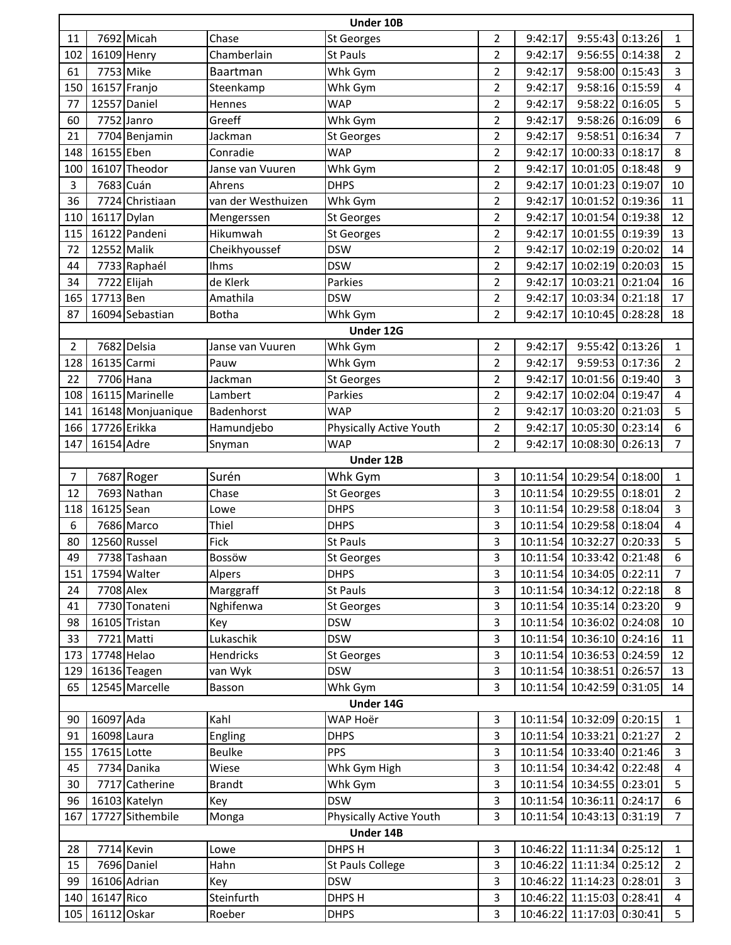| Under 10B      |                 |                   |                    |                         |                |          |                              |                |  |
|----------------|-----------------|-------------------|--------------------|-------------------------|----------------|----------|------------------------------|----------------|--|
| 11             |                 | 7692 Micah        | Chase              | <b>St Georges</b>       | $\overline{2}$ | 9:42:17  | 9:55:43 0:13:26              | $\mathbf{1}$   |  |
| 102            | 16109 Henry     |                   | Chamberlain        | <b>St Pauls</b>         | $\overline{2}$ | 9:42:17  | 9:56:55 0:14:38              | $\overline{2}$ |  |
| 61             |                 | 7753 Mike         | <b>Baartman</b>    | Whk Gym                 | $\overline{2}$ | 9:42:17  | 9:58:00 0:15:43              | 3              |  |
| 150            |                 | 16157 Franjo      | Steenkamp          | Whk Gym                 | $\overline{2}$ | 9:42:17  | 9:58:16 0:15:59              | 4              |  |
| 77             |                 | 12557 Daniel      | Hennes             | <b>WAP</b>              | $\overline{2}$ | 9:42:17  | 9:58:22<br>0:16:05           | 5              |  |
| 60             |                 | 7752 Janro        | Greeff             | Whk Gym                 | $\overline{2}$ | 9:42:17  | 9:58:26 0:16:09              | 6              |  |
| 21             |                 | 7704 Benjamin     | Jackman            | <b>St Georges</b>       | $\overline{2}$ | 9:42:17  | 9:58:51 0:16:34              | 7              |  |
| 148            | 16155 Eben      |                   | Conradie           | <b>WAP</b>              | $\mathbf 2$    | 9:42:17  | 10:00:33 0:18:17             | 8              |  |
| 100            |                 | 16107 Theodor     | Janse van Vuuren   | Whk Gym                 | $\overline{2}$ | 9:42:17  | 10:01:05 0:18:48             | 9              |  |
| 3              |                 | 7683 Cuán         | Ahrens             | <b>DHPS</b>             | $\overline{2}$ | 9:42:17  | 10:01:23 0:19:07             | 10             |  |
| 36             |                 | 7724 Christiaan   | van der Westhuizen | Whk Gym                 | $\overline{2}$ | 9:42:17  | 10:01:52<br>0:19:36          | 11             |  |
| 110            | 16117 Dylan     |                   | Mengerssen         | <b>St Georges</b>       | $\mathbf 2$    |          | 9:42:17 10:01:54 0:19:38     | 12             |  |
| 115            |                 | 16122 Pandeni     | Hikumwah           | <b>St Georges</b>       | $\overline{2}$ | 9:42:17  | 10:01:55 0:19:39             | 13             |  |
| 72             | 12552 Malik     |                   | Cheikhyoussef      | <b>DSW</b>              | $\overline{2}$ | 9:42:17  | 10:02:19 0:20:02             | 14             |  |
| 44             |                 | 7733 Raphaél      | <b>Ihms</b>        | <b>DSW</b>              | $\overline{2}$ | 9:42:17  | 10:02:19 0:20:03             | 15             |  |
| 34             |                 | $7722$ Elijah     | de Klerk           | Parkies                 | $\overline{2}$ |          | 9:42:17 10:03:21 0:21:04     | 16             |  |
| 165            | 17713 Ben       |                   | Amathila           | <b>DSW</b>              | $\overline{2}$ | 9:42:17  | 10:03:34 0:21:18             | 17             |  |
| 87             |                 | 16094 Sebastian   | <b>Botha</b>       | Whk Gym                 | $\overline{2}$ | 9:42:17  | 10:10:45 0:28:28             | 18             |  |
|                |                 |                   |                    | Under 12G               |                |          |                              |                |  |
| $\overline{2}$ |                 | 7682 Delsia       | Janse van Vuuren   | Whk Gym                 | $\overline{2}$ | 9:42:17  | 9:55:42 0:13:26              | 1              |  |
| 128            | 16135 Carmi     |                   | Pauw               | Whk Gym                 | $\overline{2}$ | 9:42:17  | 9:59:53 0:17:36              | $\overline{2}$ |  |
| 22             |                 | 7706 Hana         | Jackman            | <b>St Georges</b>       | $\overline{2}$ | 9:42:17  | 10:01:56 0:19:40             | 3              |  |
| 108            |                 | 16115 Marinelle   | Lambert            | Parkies                 | $\overline{c}$ | 9:42:17  | 10:02:04 0:19:47             | 4              |  |
| 141            |                 | 16148 Monjuanique | Badenhorst         | <b>WAP</b>              | $\overline{2}$ | 9:42:17  | 10:03:20 0:21:03             | 5              |  |
| 166            | 17726 Erikka    |                   | Hamundjebo         | Physically Active Youth | $\overline{2}$ | 9:42:17  | 10:05:30 0:23:14             | 6              |  |
| 147            | 16154 Adre      |                   | Snyman             | <b>WAP</b>              | $\overline{2}$ | 9:42:17  | 10:08:30<br>0:26:13          | 7              |  |
|                |                 |                   |                    | Under 12B               |                |          |                              |                |  |
| $\overline{7}$ |                 | 7687 Roger        | Surén              | Whk Gym                 | 3              |          | 10:11:54 10:29:54 0:18:00    | $\mathbf{1}$   |  |
| 12             |                 | 7693 Nathan       | Chase              | <b>St Georges</b>       | 3              |          | 10:11:54 10:29:55 0:18:01    | $\overline{2}$ |  |
| 118            | 16125 Sean      |                   | Lowe               | <b>DHPS</b>             | 3              |          | 10:11:54 10:29:58 0:18:04    | 3              |  |
| 6              |                 | 7686 Marco        | Thiel              | <b>DHPS</b>             | 3              |          | 10:11:54 10:29:58 0:18:04    | 4              |  |
| 80             | 12560 Russel    |                   | Fick               | <b>St Pauls</b>         | 3              |          | 10:11:54 10:32:27<br>0:20:33 | 5              |  |
| 49             |                 | 7738 Tashaan      | Bossöw             | <b>St Georges</b>       | 3              |          | 10:11:54 10:33:42 0:21:48    | 6              |  |
| 151            |                 | 17594 Walter      | Alpers             | <b>DHPS</b>             | 3              |          | 10:11:54 10:34:05 0:22:11    | $\overline{7}$ |  |
| 24             | 7708 Alex       |                   | Marggraff          | <b>St Pauls</b>         | 3              |          | 10:11:54 10:34:12 0:22:18    | 8              |  |
| 41             |                 | 7730 Tonateni     | Nghifenwa          | <b>St Georges</b>       | 3              |          | 10:11:54 10:35:14 0:23:20    | 9              |  |
| 98             |                 | 16105 Tristan     | Key                | <b>DSW</b>              | 3              |          | 10:11:54 10:36:02 0:24:08    | 10             |  |
| 33             |                 | 7721 Matti        | Lukaschik          | <b>DSW</b>              | 3              |          | 10:11:54 10:36:10 0:24:16    | 11             |  |
| 173            | 17748 Helao     |                   | Hendricks          | <b>St Georges</b>       | 3              |          | 10:11:54 10:36:53 0:24:59    | 12             |  |
| 129            |                 | 16136 Teagen      | van Wyk            | <b>DSW</b>              | 3              |          | 10:11:54 10:38:51 0:26:57    | 13             |  |
| 65             |                 | 12545 Marcelle    | Basson             | Whk Gym                 | 3              |          | 10:11:54 10:42:59 0:31:05    | 14             |  |
| Under 14G      |                 |                   |                    |                         |                |          |                              |                |  |
| 90             | 16097 Ada       |                   | Kahl               | WAP Hoër                | 3              |          | 10:11:54 10:32:09 0:20:15    | 1              |  |
| 91             | 16098 Laura     |                   | Engling            | <b>DHPS</b>             | 3              |          | 10:11:54 10:33:21 0:21:27    | $\overline{2}$ |  |
| 155            | 17615 Lotte     |                   | <b>Beulke</b>      | <b>PPS</b>              | 3              |          | 10:11:54 10:33:40 0:21:46    | 3              |  |
| 45             |                 | 7734 Danika       | Wiese              | Whk Gym High            | 3              |          | 10:11:54 10:34:42 0:22:48    | 4              |  |
| 30             |                 | 7717 Catherine    | <b>Brandt</b>      | Whk Gym                 | 3              |          | 10:11:54 10:34:55 0:23:01    | 5              |  |
| 96             |                 | 16103 Katelyn     | Key                | <b>DSW</b>              | 3              |          | 10:11:54 10:36:11 0:24:17    | 6              |  |
| 167            |                 | 17727 Sithembile  | Monga              | Physically Active Youth | 3              |          | 10:11:54 10:43:13 0:31:19    | 7              |  |
| Under 14B      |                 |                   |                    |                         |                |          |                              |                |  |
| 28             |                 | 7714 Kevin        | Lowe               | DHPS H                  | 3              |          | 10:46:22 11:11:34 0:25:12    | $\mathbf 1$    |  |
| 15             |                 | 7696 Daniel       | Hahn               | <b>St Pauls College</b> | 3              |          | 10:46:22 11:11:34 0:25:12    | $\overline{2}$ |  |
| 99             |                 | 16106 Adrian      | Key                | <b>DSW</b>              | 3              | 10:46:22 | 11:14:23 0:28:01             | 3              |  |
| 140            | 16147 Rico      |                   | Steinfurth         | DHPS H                  | 3              |          | 10:46:22 11:15:03 0:28:41    | 4              |  |
|                | 105 16112 Oskar |                   | Roeber             | <b>DHPS</b>             | 3              | 10:46:22 | 11:17:03 0:30:41             | 5 <sub>1</sub> |  |
|                |                 |                   |                    |                         |                |          |                              |                |  |